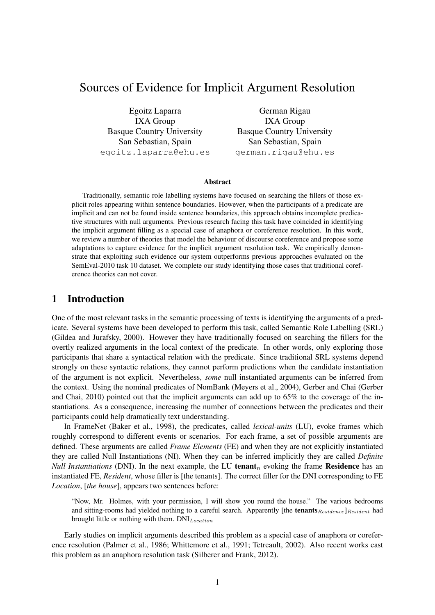# Sources of Evidence for Implicit Argument Resolution

Egoitz Laparra IXA Group Basque Country University San Sebastian, Spain egoitz.laparra@ehu.es

German Rigau IXA Group Basque Country University San Sebastian, Spain german.rigau@ehu.es

#### Abstract

Traditionally, semantic role labelling systems have focused on searching the fillers of those explicit roles appearing within sentence boundaries. However, when the participants of a predicate are implicit and can not be found inside sentence boundaries, this approach obtains incomplete predicative structures with null arguments. Previous research facing this task have coincided in identifying the implicit argument filling as a special case of anaphora or coreference resolution. In this work, we review a number of theories that model the behaviour of discourse coreference and propose some adaptations to capture evidence for the implicit argument resolution task. We empirically demonstrate that exploiting such evidence our system outperforms previous approaches evaluated on the SemEval-2010 task 10 dataset. We complete our study identifying those cases that traditional coreference theories can not cover.

### 1 Introduction

One of the most relevant tasks in the semantic processing of texts is identifying the arguments of a predicate. Several systems have been developed to perform this task, called Semantic Role Labelling (SRL) (Gildea and Jurafsky, 2000). However they have traditionally focused on searching the fillers for the overtly realized arguments in the local context of the predicate. In other words, only exploring those participants that share a syntactical relation with the predicate. Since traditional SRL systems depend strongly on these syntactic relations, they cannot perform predictions when the candidate instantiation of the argument is not explicit. Nevertheless, *some* null instantiated arguments can be inferred from the context. Using the nominal predicates of NomBank (Meyers et al., 2004), Gerber and Chai (Gerber and Chai, 2010) pointed out that the implicit arguments can add up to 65% to the coverage of the instantiations. As a consequence, increasing the number of connections between the predicates and their participants could help dramatically text understanding.

In FrameNet (Baker et al., 1998), the predicates, called *lexical-units* (LU), evoke frames which roughly correspond to different events or scenarios. For each frame, a set of possible arguments are defined. These arguments are called *Frame Elements* (FE) and when they are not explicitly instantiated they are called Null Instantiations (NI). When they can be inferred implicitly they are called *Definite Null Instantiations* (DNI). In the next example, the LU tenant<sub>n</sub> evoking the frame Residence has an instantiated FE, *Resident*, whose filler is [the tenants]. The correct filler for the DNI corresponding to FE *Location*, [*the house*], appears two sentences before:

"Now, Mr. Holmes, with your permission, I will show you round the house." The various bedrooms and sitting-rooms had yielded nothing to a careful search. Apparently [the tenants  $Residence]Resident$  had brought little or nothing with them.  $DNI_{Location}$ 

Early studies on implicit arguments described this problem as a special case of anaphora or coreference resolution (Palmer et al., 1986; Whittemore et al., 1991; Tetreault, 2002). Also recent works cast this problem as an anaphora resolution task (Silberer and Frank, 2012).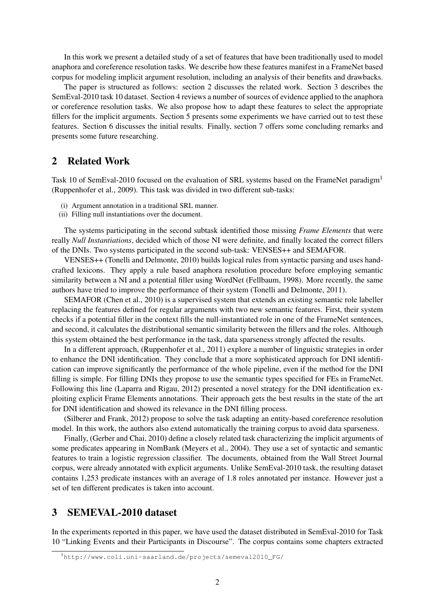In this work we present a detailed study of a set of features that have been traditionally used to model anaphora and coreference resolution tasks. We describe how these features manifest in a FrameNet based corpus for modeling implicit argument resolution, including an analysis of their benefits and drawbacks.

The paper is structured as follows: section 2 discusses the related work. Section 3 describes the SemEval-2010 task 10 dataset. Section 4 reviews a number of sources of evidence applied to the anaphora or coreference resolution tasks. We also propose how to adapt these features to select the appropriate fillers for the implicit arguments. Section 5 presents some experiments we have carried out to test these features. Section 6 discusses the initial results. Finally, section 7 offers some concluding remarks and presents some future researching.

### 2 Related Work

Task 10 of SemEval-2010 focused on the evaluation of SRL systems based on the FrameNet paradigm<sup>1</sup> (Ruppenhofer et al., 2009). This task was divided in two different sub-tasks:

- (i) Argument annotation in a traditional SRL manner.
- (ii) Filling null instantiations over the document.

The systems participating in the second subtask identified those missing *Frame Elements* that were really *Null Instantiations*, decided which of those NI were definite, and finally located the correct fillers of the DNIs. Two systems participated in the second sub-task: VENSES++ and SEMAFOR.

VENSES++ (Tonelli and Delmonte, 2010) builds logical rules from syntactic parsing and uses handcrafted lexicons. They apply a rule based anaphora resolution procedure before employing semantic similarity between a NI and a potential filler using WordNet (Fellbaum, 1998). More recently, the same authors have tried to improve the performance of their system (Tonelli and Delmonte, 2011).

SEMAFOR (Chen et al., 2010) is a supervised system that extends an existing semantic role labeller replacing the features defined for regular arguments with two new semantic features. First, their system checks if a potential filler in the context fills the null-instantiated role in one of the FrameNet sentences, and second, it calculates the distributional semantic similarity between the fillers and the roles. Although this system obtained the best performance in the task, data sparseness strongly affected the results.

In a different approach, (Ruppenhofer et al., 2011) explore a number of linguistic strategies in order to enhance the DNI identification. They conclude that a more sophisticated approach for DNI identification can improve significantly the performance of the whole pipeline, even if the method for the DNI filling is simple. For filling DNIs they propose to use the semantic types specified for FEs in FrameNet. Following this line (Laparra and Rigau, 2012) presented a novel strategy for the DNI identification exploiting explicit Frame Elements annotations. Their approach gets the best results in the state of the art for DNI identification and showed its relevance in the DNI filling process.

(Silberer and Frank, 2012) propose to solve the task adapting an entity-based coreference resolution model. In this work, the authors also extend automatically the training corpus to avoid data sparseness.

Finally, (Gerber and Chai, 2010) define a closely related task characterizing the implicit arguments of some predicates appearing in NomBank (Meyers et al., 2004). They use a set of syntactic and semantic features to train a logistic regression classifier. The documents, obtained from the Wall Street Journal corpus, were already annotated with explicit arguments. Unlike SemEval-2010 task, the resulting dataset contains 1,253 predicate instances with an average of 1.8 roles annotated per instance. However just a set of ten different predicates is taken into account.

### 3 SEMEVAL-2010 dataset

In the experiments reported in this paper, we have used the dataset distributed in SemEval-2010 for Task 10 "Linking Events and their Participants in Discourse". The corpus contains some chapters extracted

<sup>1</sup>http://www.coli.uni-saarland.de/projects/semeval2010\_FG/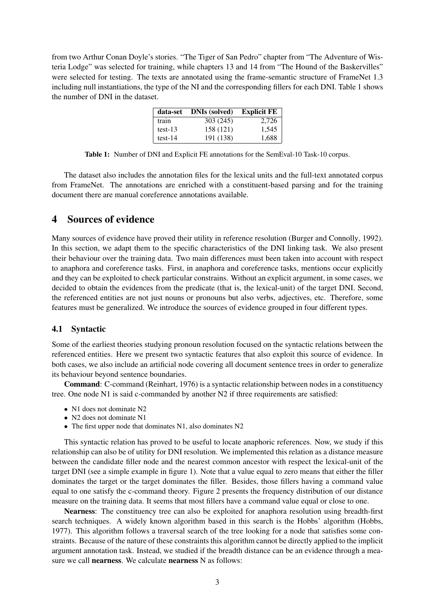from two Arthur Conan Doyle's stories. "The Tiger of San Pedro" chapter from "The Adventure of Wisteria Lodge" was selected for training, while chapters 13 and 14 from "The Hound of the Baskervilles" were selected for testing. The texts are annotated using the frame-semantic structure of FrameNet 1.3 including null instantiations, the type of the NI and the corresponding fillers for each DNI. Table 1 shows the number of DNI in the dataset.

| data-set  | <b>DNIs (solved)</b> | Explicit $FE$ |
|-----------|----------------------|---------------|
| train     | 303 (245)            | 2,726         |
| $test-13$ | 158 (121)            | 1,545         |
| $test-14$ | 191 (138)            | 1,688         |

Table 1: Number of DNI and Explicit FE annotations for the SemEval-10 Task-10 corpus.

The dataset also includes the annotation files for the lexical units and the full-text annotated corpus from FrameNet. The annotations are enriched with a constituent-based parsing and for the training document there are manual coreference annotations available.

### 4 Sources of evidence

Many sources of evidence have proved their utility in reference resolution (Burger and Connolly, 1992). In this section, we adapt them to the specific characteristics of the DNI linking task. We also present their behaviour over the training data. Two main differences must been taken into account with respect to anaphora and coreference tasks. First, in anaphora and coreference tasks, mentions occur explicitly and they can be exploited to check particular constrains. Without an explicit argument, in some cases, we decided to obtain the evidences from the predicate (that is, the lexical-unit) of the target DNI. Second, the referenced entities are not just nouns or pronouns but also verbs, adjectives, etc. Therefore, some features must be generalized. We introduce the sources of evidence grouped in four different types.

#### 4.1 Syntactic

Some of the earliest theories studying pronoun resolution focused on the syntactic relations between the referenced entities. Here we present two syntactic features that also exploit this source of evidence. In both cases, we also include an artificial node covering all document sentence trees in order to generalize its behaviour beyond sentence boundaries.

Command: C-command (Reinhart, 1976) is a syntactic relationship between nodes in a constituency tree. One node N1 is said c-commanded by another N2 if three requirements are satisfied:

- N1 does not dominate N2
- N2 does not dominate N1
- The first upper node that dominates N1, also dominates N2

This syntactic relation has proved to be useful to locate anaphoric references. Now, we study if this relationship can also be of utility for DNI resolution. We implemented this relation as a distance measure between the candidate filler node and the nearest common ancestor with respect the lexical-unit of the target DNI (see a simple example in figure 1). Note that a value equal to zero means that either the filler dominates the target or the target dominates the filler. Besides, those fillers having a command value equal to one satisfy the c-command theory. Figure 2 presents the frequency distribution of our distance measure on the training data. It seems that most fillers have a command value equal or close to one.

Nearness: The constituency tree can also be exploited for anaphora resolution using breadth-first search techniques. A widely known algorithm based in this search is the Hobbs' algorithm (Hobbs, 1977). This algorithm follows a traversal search of the tree looking for a node that satisfies some constraints. Because of the nature of these constraints this algorithm cannot be directly applied to the implicit argument annotation task. Instead, we studied if the breadth distance can be an evidence through a measure we call nearness. We calculate nearness N as follows: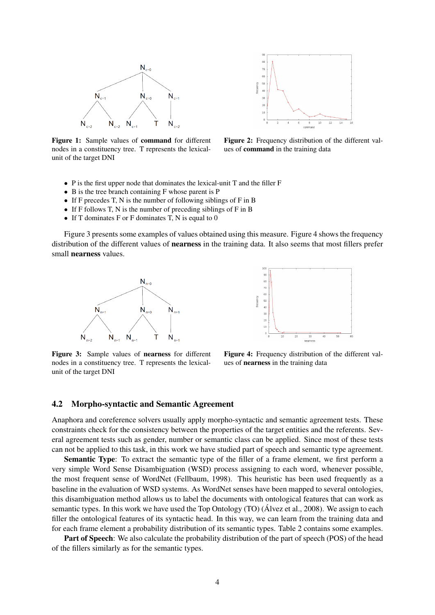

 $\overline{5}$  $40$  $\overline{3}$  $\overline{2}$ 

Figure 1: Sample values of command for different nodes in a constituency tree. T represents the lexicalunit of the target DNI

Figure 2: Frequency distribution of the different values of command in the training data

- P is the first upper node that dominates the lexical-unit T and the filler F
- B is the tree branch containing F whose parent is P
- If F precedes T, N is the number of following siblings of F in B
- If F follows T, N is the number of preceding siblings of F in B
- If T dominates  $F$  or  $F$  dominates  $T$ ,  $N$  is equal to  $0$

Figure 3 presents some examples of values obtained using this measure. Figure 4 shows the frequency distribution of the different values of nearness in the training data. It also seems that most fillers prefer small nearness values.



 $\frac{1}{70}$  $60$  $50$  $40$  $3<sup>o</sup>$  $\overline{2}$  $\overline{10}$ 

Figure 3: Sample values of nearness for different nodes in a constituency tree. T represents the lexicalunit of the target DNI

Figure 4: Frequency distribution of the different values of nearness in the training data

#### 4.2 Morpho-syntactic and Semantic Agreement

Anaphora and coreference solvers usually apply morpho-syntactic and semantic agreement tests. These constraints check for the consistency between the properties of the target entities and the referents. Several agreement tests such as gender, number or semantic class can be applied. Since most of these tests can not be applied to this task, in this work we have studied part of speech and semantic type agreement.

Semantic Type: To extract the semantic type of the filler of a frame element, we first perform a very simple Word Sense Disambiguation (WSD) process assigning to each word, whenever possible, the most frequent sense of WordNet (Fellbaum, 1998). This heuristic has been used frequently as a baseline in the evaluation of WSD systems. As WordNet senses have been mapped to several ontologies, this disambiguation method allows us to label the documents with ontological features that can work as semantic types. In this work we have used the Top Ontology (TO) (Alvez et al., 2008). We assign to each filler the ontological features of its syntactic head. In this way, we can learn from the training data and for each frame element a probability distribution of its semantic types. Table 2 contains some examples.

Part of Speech: We also calculate the probability distribution of the part of speech (POS) of the head of the fillers similarly as for the semantic types.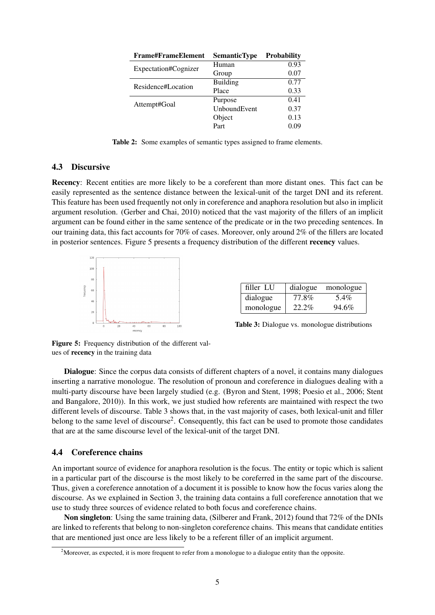| <b>Frame#FrameElement</b> | <b>SemanticType</b> | <b>Probability</b> |
|---------------------------|---------------------|--------------------|
| Expectation#Cognizer      | Human               | 0.93               |
|                           | Group               | 0.07               |
| Residence#Location        | <b>Building</b>     | 0.77               |
|                           | Place               | 0.33               |
|                           | Purpose             | 0.41               |
| Attempt#Goal              | UnboundEvent        | 0.37               |
|                           | Object              | 0.13               |
|                           | Part                | 0.09               |

Table 2: Some examples of semantic types assigned to frame elements.

#### 4.3 Discursive

Recency: Recent entities are more likely to be a coreferent than more distant ones. This fact can be easily represented as the sentence distance between the lexical-unit of the target DNI and its referent. This feature has been used frequently not only in coreference and anaphora resolution but also in implicit argument resolution. (Gerber and Chai, 2010) noticed that the vast majority of the fillers of an implicit argument can be found either in the same sentence of the predicate or in the two preceding sentences. In our training data, this fact accounts for 70% of cases. Moreover, only around 2% of the fillers are located in posterior sentences. Figure 5 presents a frequency distribution of the different recency values.



| filler LU |          | dialogue monologue |
|-----------|----------|--------------------|
| dialogue  | 77.8%    | 5.4%               |
| monologue | $22.2\%$ | 94.6%              |

Table 3: Dialogue vs. monologue distributions

Figure 5: Frequency distribution of the different values of recency in the training data

Dialogue: Since the corpus data consists of different chapters of a novel, it contains many dialogues inserting a narrative monologue. The resolution of pronoun and coreference in dialogues dealing with a multi-party discourse have been largely studied (e.g. (Byron and Stent, 1998; Poesio et al., 2006; Stent and Bangalore, 2010)). In this work, we just studied how referents are maintained with respect the two different levels of discourse. Table 3 shows that, in the vast majority of cases, both lexical-unit and filler belong to the same level of discourse<sup>2</sup>. Consequently, this fact can be used to promote those candidates that are at the same discourse level of the lexical-unit of the target DNI.

#### 4.4 Coreference chains

An important source of evidence for anaphora resolution is the focus. The entity or topic which is salient in a particular part of the discourse is the most likely to be coreferred in the same part of the discourse. Thus, given a coreference annotation of a document it is possible to know how the focus varies along the discourse. As we explained in Section 3, the training data contains a full coreference annotation that we use to study three sources of evidence related to both focus and coreference chains.

Non singleton: Using the same training data, (Silberer and Frank, 2012) found that 72% of the DNIs are linked to referents that belong to non-singleton coreference chains. This means that candidate entities that are mentioned just once are less likely to be a referent filler of an implicit argument.

<sup>&</sup>lt;sup>2</sup>Moreover, as expected, it is more frequent to refer from a monologue to a dialogue entity than the opposite.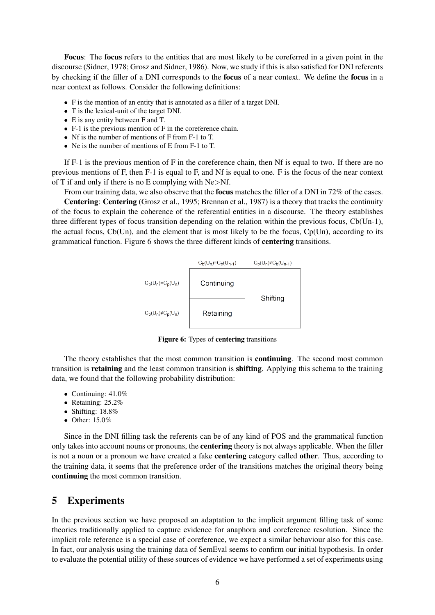Focus: The focus refers to the entities that are most likely to be coreferred in a given point in the discourse (Sidner, 1978; Grosz and Sidner, 1986). Now, we study if this is also satisfied for DNI referents by checking if the filler of a DNI corresponds to the focus of a near context. We define the focus in a near context as follows. Consider the following definitions:

- F is the mention of an entity that is annotated as a filler of a target DNI.
- T is the lexical-unit of the target DNI.
- E is any entity between F and T.
- F-1 is the previous mention of F in the coreference chain.
- Nf is the number of mentions of F from F-1 to T.
- Ne is the number of mentions of E from F-1 to T.

If  $F-1$  is the previous mention of F in the coreference chain, then Nf is equal to two. If there are no previous mentions of F, then F-1 is equal to F, and Nf is equal to one. F is the focus of the near context of T if and only if there is no E complying with Ne>Nf.

From our training data, we also observe that the **focus** matches the filler of a DNI in 72% of the cases. Centering: Centering (Grosz et al., 1995; Brennan et al., 1987) is a theory that tracks the continuity of the focus to explain the coherence of the referential entities in a discourse. The theory establishes three different types of focus transition depending on the relation within the previous focus, Cb(Un-1), the actual focus,  $Cb(Un)$ , and the element that is most likely to be the focus,  $Cp(Un)$ , according to its grammatical function. Figure 6 shows the three different kinds of centering transitions.



Figure 6: Types of centering transitions

The theory establishes that the most common transition is continuing. The second most common transition is retaining and the least common transition is shifting. Applying this schema to the training data, we found that the following probability distribution:

- Continuing: 41.0%
- Retaining: 25.2%
- Shifting: 18.8%
- Other: 15.0%

Since in the DNI filling task the referents can be of any kind of POS and the grammatical function only takes into account nouns or pronouns, the centering theory is not always applicable. When the filler is not a noun or a pronoun we have created a fake centering category called other. Thus, according to the training data, it seems that the preference order of the transitions matches the original theory being continuing the most common transition.

### 5 Experiments

In the previous section we have proposed an adaptation to the implicit argument filling task of some theories traditionally applied to capture evidence for anaphora and coreference resolution. Since the implicit role reference is a special case of coreference, we expect a similar behaviour also for this case. In fact, our analysis using the training data of SemEval seems to confirm our initial hypothesis. In order to evaluate the potential utility of these sources of evidence we have performed a set of experiments using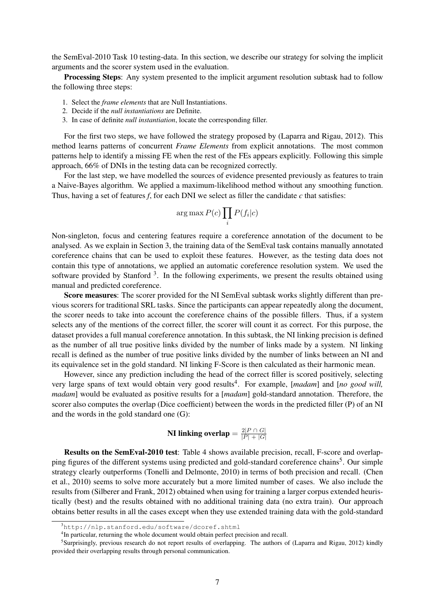the SemEval-2010 Task 10 testing-data. In this section, we describe our strategy for solving the implicit arguments and the scorer system used in the evaluation.

**Processing Steps:** Any system presented to the implicit argument resolution subtask had to follow the following three steps:

- 1. Select the *frame elements* that are Null Instantiations.
- 2. Decide if the *null instantiations* are Definite.
- 3. In case of definite *null instantiation*, locate the corresponding filler.

For the first two steps, we have followed the strategy proposed by (Laparra and Rigau, 2012). This method learns patterns of concurrent *Frame Elements* from explicit annotations. The most common patterns help to identify a missing FE when the rest of the FEs appears explicitly. Following this simple approach, 66% of DNIs in the testing data can be recognized correctly.

For the last step, we have modelled the sources of evidence presented previously as features to train a Naive-Bayes algorithm. We applied a maximum-likelihood method without any smoothing function. Thus, having a set of features *f*, for each DNI we select as filler the candidate *c* that satisfies:

$$
\arg\max P(c) \prod_i P(f_i|c)
$$

Non-singleton, focus and centering features require a coreference annotation of the document to be analysed. As we explain in Section 3, the training data of the SemEval task contains manually annotated coreference chains that can be used to exploit these features. However, as the testing data does not contain this type of annotations, we applied an automatic coreference resolution system. We used the software provided by Stanford<sup>3</sup>. In the following experiments, we present the results obtained using manual and predicted coreference.

Score measures: The scorer provided for the NI SemEval subtask works slightly different than previous scorers for traditional SRL tasks. Since the participants can appear repeatedly along the document, the scorer needs to take into account the coreference chains of the possible fillers. Thus, if a system selects any of the mentions of the correct filler, the scorer will count it as correct. For this purpose, the dataset provides a full manual coreference annotation. In this subtask, the NI linking precision is defined as the number of all true positive links divided by the number of links made by a system. NI linking recall is defined as the number of true positive links divided by the number of links between an NI and its equivalence set in the gold standard. NI linking F-Score is then calculated as their harmonic mean.

However, since any prediction including the head of the correct filler is scored positively, selecting very large spans of text would obtain very good results<sup>4</sup>. For example, [madam] and [no good will, *madam*] would be evaluated as positive results for a [*madam*] gold-standard annotation. Therefore, the scorer also computes the overlap (Dice coefficient) between the words in the predicted filler (P) of an NI and the words in the gold standard one (G):

**NI linking overlap** = 
$$
\frac{2|P \cap G|}{|P| + |G|}
$$

Results on the SemEval-2010 test: Table 4 shows available precision, recall, F-score and overlapping figures of the different systems using predicted and gold-standard coreference chains<sup>5</sup>. Our simple strategy clearly outperforms (Tonelli and Delmonte, 2010) in terms of both precision and recall. (Chen et al., 2010) seems to solve more accurately but a more limited number of cases. We also include the results from (Silberer and Frank, 2012) obtained when using for training a larger corpus extended heuristically (best) and the results obtained with no additional training data (no extra train). Our approach obtains better results in all the cases except when they use extended training data with the gold-standard

<sup>3</sup>http://nlp.stanford.edu/software/dcoref.shtml

<sup>&</sup>lt;sup>4</sup>In particular, returning the whole document would obtain perfect precision and recall.

<sup>&</sup>lt;sup>5</sup>Surprisingly, previous research do not report results of overlapping. The authors of (Laparra and Rigau, 2012) kindly provided their overlapping results through personal communication.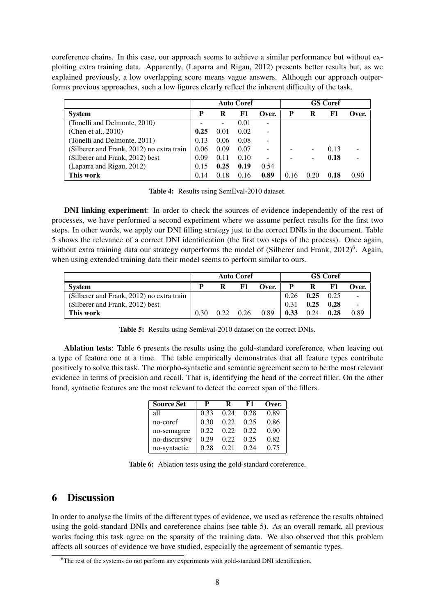coreference chains. In this case, our approach seems to achieve a similar performance but without exploiting extra training data. Apparently, (Laparra and Rigau, 2012) presents better results but, as we explained previously, a low overlapping score means vague answers. Although our approach outperforms previous approaches, such a low figures clearly reflect the inherent difficulty of the task.

|                                           |      |                          | <b>Auto Coref</b> |       | <b>GS Coref</b> |      |      |       |
|-------------------------------------------|------|--------------------------|-------------------|-------|-----------------|------|------|-------|
| <b>System</b>                             | P    | R                        | F1                | Over. | P               | R    | F1   | Over. |
| (Tonelli and Delmonte, 2010)              |      | $\overline{\phantom{a}}$ | 0.01              | ٠     |                 |      |      |       |
| (Chen et al., 2010)                       | 0.25 | 0.01                     | 0.02              |       |                 |      |      |       |
| (Tonelli and Delmonte, 2011)              | 0.13 | 0.06                     | 0.08              | ۰     |                 |      |      |       |
| (Silberer and Frank, 2012) no extra train | 0.06 | 0.09                     | 0.07              |       |                 |      | 0.13 |       |
| (Silberer and Frank, 2012) best           | 0.09 | 0.11                     | 0.10              |       |                 |      | 0.18 |       |
| (Laparra and Rigau, 2012)                 | 0.15 | 0.25                     | 0.19              | 0.54  |                 |      |      |       |
| This work                                 | 0.14 | 0.18                     | 0.16              | 0.89  | 16<br>$\Omega$  | 0.20 | 0.18 | 0.90  |

Table 4: Results using SemEval-2010 dataset.

DNI linking experiment: In order to check the sources of evidence independently of the rest of processes, we have performed a second experiment where we assume perfect results for the first two steps. In other words, we apply our DNI filling strategy just to the correct DNIs in the document. Table 5 shows the relevance of a correct DNI identification (the first two steps of the process). Once again, without extra training data our strategy outperforms the model of (Silberer and Frank, 2012)<sup>6</sup>. Again, when using extended training data their model seems to perform similar to ours.

|                                           | <b>Auto Coref</b> |      |      |       |      |                      | <b>GS</b> Coref |       |  |
|-------------------------------------------|-------------------|------|------|-------|------|----------------------|-----------------|-------|--|
| <b>System</b>                             | P                 | R    | F1   | Over. | P    | R                    | F1              | Over. |  |
| (Silberer and Frank, 2012) no extra train |                   |      |      |       |      | $0.26$ $0.25$ $0.25$ |                 |       |  |
| (Silberer and Frank, 2012) best           |                   |      |      |       | 0.31 | $0.25 \quad 0.28$    |                 |       |  |
| This work                                 | 0.30              | 0.22 | 0.26 | 0.89  | 0.33 | 0.24                 | 0.28            | 0.89  |  |

Table 5: Results using SemEval-2010 dataset on the correct DNIs.

Ablation tests: Table 6 presents the results using the gold-standard coreference, when leaving out a type of feature one at a time. The table empirically demonstrates that all feature types contribute positively to solve this task. The morpho-syntactic and semantic agreement seem to be the most relevant evidence in terms of precision and recall. That is, identifying the head of the correct filler. On the other hand, syntactic features are the most relevant to detect the correct span of the fillers.

| <b>Source Set</b> | р     | ĸ    | F1   | Over. |
|-------------------|-------|------|------|-------|
| all               | 0.33  | 0.24 | 0.28 | 0.89  |
| no-coref          | 0.30  | 0.22 | 0.25 | 0.86  |
| no-semagree       | 0.22. | 0.22 | 0.22 | 0.90  |
| no-discursive     | 0.29  | 0.22 | 0.25 | 0.82  |
| no-syntactic      | 0.28  | 0.21 | 0.24 | 0.75  |

Table 6: Ablation tests using the gold-standard coreference.

## 6 Discussion

In order to analyse the limits of the different types of evidence, we used as reference the results obtained using the gold-standard DNIs and coreference chains (see table 5). As an overall remark, all previous works facing this task agree on the sparsity of the training data. We also observed that this problem affects all sources of evidence we have studied, especially the agreement of semantic types.

<sup>&</sup>lt;sup>6</sup>The rest of the systems do not perform any experiments with gold-standard DNI identification.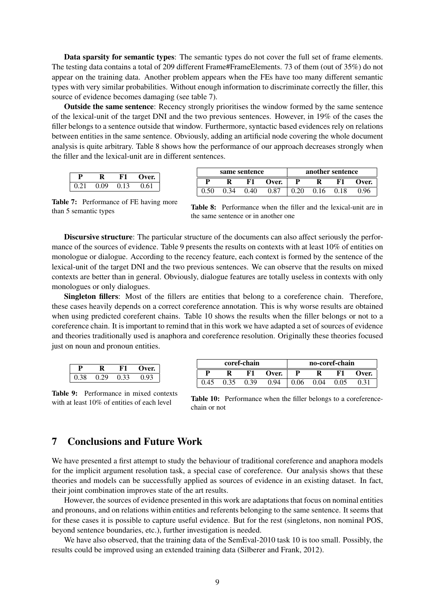Data sparsity for semantic types: The semantic types do not cover the full set of frame elements. The testing data contains a total of 209 different Frame#FrameElements. 73 of them (out of 35%) do not appear on the training data. Another problem appears when the FEs have too many different semantic types with very similar probabilities. Without enough information to discriminate correctly the filler, this source of evidence becomes damaging (see table 7).

Outside the same sentence: Recency strongly prioritises the window formed by the same sentence of the lexical-unit of the target DNI and the two previous sentences. However, in 19% of the cases the filler belongs to a sentence outside that window. Furthermore, syntactic based evidences rely on relations between entities in the same sentence. Obviously, adding an artificial node covering the whole document analysis is quite arbitrary. Table 8 shows how the performance of our approach decreases strongly when the filler and the lexical-unit are in different sentences.

|      | R    | KТ   | Over. |
|------|------|------|-------|
| 0.21 | 0.09 | 0.13 | 0.61  |

| same sentence |      |      |       | another sentence |      |      |       |  |
|---------------|------|------|-------|------------------|------|------|-------|--|
|               |      | F1   | Over. |                  |      | F1   | Over. |  |
| 0.50          | 0.34 | 0.40 | 0.87  | 0.20             | 0.16 | 0.18 | 0.96  |  |

Table 7: Performance of FE having more than 5 semantic types

Table 8: Performance when the filler and the lexical-unit are in the same sentence or in another one

Discursive structure: The particular structure of the documents can also affect seriously the performance of the sources of evidence. Table 9 presents the results on contexts with at least 10% of entities on monologue or dialogue. According to the recency feature, each context is formed by the sentence of the lexical-unit of the target DNI and the two previous sentences. We can observe that the results on mixed contexts are better than in general. Obviously, dialogue features are totally useless in contexts with only monologues or only dialogues.

Singleton fillers: Most of the fillers are entities that belong to a coreference chain. Therefore, these cases heavily depends on a correct coreference annotation. This is why worse results are obtained when using predicted coreferent chains. Table 10 shows the results when the filler belongs or not to a coreference chain. It is important to remind that in this work we have adapted a set of sources of evidence and theories traditionally used is anaphora and coreference resolution. Originally these theories focused just on noun and pronoun entities.

|              |      |      |       |      | coref-chain |                       |       | no-coref-chain |      |      |        |  |
|--------------|------|------|-------|------|-------------|-----------------------|-------|----------------|------|------|--------|--|
| n            |      | F1   | )ver. |      |             |                       |       |                |      |      |        |  |
| 0.29         |      |      |       | D    | D           | $\mathbf{F}^{\prime}$ | Over. |                | R    | F1   | ')ver. |  |
| <u>v. 20</u> | 0.29 | 0.33 | 0.93  |      |             |                       |       |                |      |      |        |  |
|              |      |      |       | 0.45 |             | 0.39                  | 0.94  | 0.06           | J.04 | 0.05 | 0.31   |  |

Table 9: Performance in mixed contexts with at least 10% of entities of each level

|              | Table 10: Performance when the filler belongs to a coreference- |  |  |  |  |
|--------------|-----------------------------------------------------------------|--|--|--|--|
| chain or not |                                                                 |  |  |  |  |

### 7 Conclusions and Future Work

We have presented a first attempt to study the behaviour of traditional coreference and anaphora models for the implicit argument resolution task, a special case of coreference. Our analysis shows that these theories and models can be successfully applied as sources of evidence in an existing dataset. In fact, their joint combination improves state of the art results.

However, the sources of evidence presented in this work are adaptations that focus on nominal entities and pronouns, and on relations within entities and referents belonging to the same sentence. It seems that for these cases it is possible to capture useful evidence. But for the rest (singletons, non nominal POS, beyond sentence boundaries, etc.), further investigation is needed.

We have also observed, that the training data of the SemEval-2010 task 10 is too small. Possibly, the results could be improved using an extended training data (Silberer and Frank, 2012).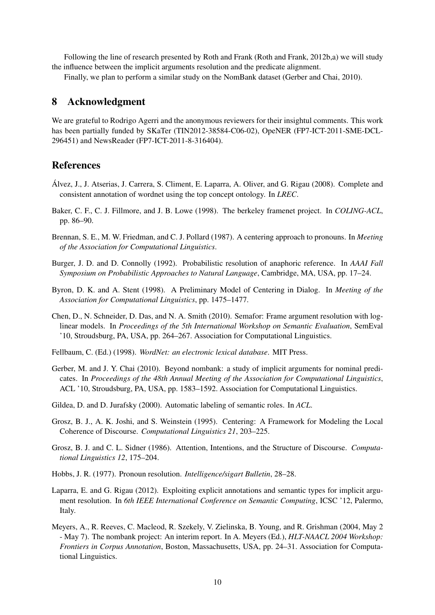Following the line of research presented by Roth and Frank (Roth and Frank, 2012b,a) we will study the influence between the implicit arguments resolution and the predicate alignment.

Finally, we plan to perform a similar study on the NomBank dataset (Gerber and Chai, 2010).

### 8 Acknowledgment

We are grateful to Rodrigo Agerri and the anonymous reviewers for their insightul comments. This work has been partially funded by SKaTer (TIN2012-38584-C06-02), OpeNER (FP7-ICT-2011-SME-DCL-296451) and NewsReader (FP7-ICT-2011-8-316404).

### References

- Alvez, J., J. Atserias, J. Carrera, S. Climent, E. Laparra, A. Oliver, and G. Rigau (2008). Complete and ´ consistent annotation of wordnet using the top concept ontology. In *LREC*.
- Baker, C. F., C. J. Fillmore, and J. B. Lowe (1998). The berkeley framenet project. In *COLING-ACL*, pp. 86–90.
- Brennan, S. E., M. W. Friedman, and C. J. Pollard (1987). A centering approach to pronouns. In *Meeting of the Association for Computational Linguistics*.
- Burger, J. D. and D. Connolly (1992). Probabilistic resolution of anaphoric reference. In *AAAI Fall Symposium on Probabilistic Approaches to Natural Language*, Cambridge, MA, USA, pp. 17–24.
- Byron, D. K. and A. Stent (1998). A Preliminary Model of Centering in Dialog. In *Meeting of the Association for Computational Linguistics*, pp. 1475–1477.
- Chen, D., N. Schneider, D. Das, and N. A. Smith (2010). Semafor: Frame argument resolution with loglinear models. In *Proceedings of the 5th International Workshop on Semantic Evaluation*, SemEval '10, Stroudsburg, PA, USA, pp. 264–267. Association for Computational Linguistics.
- Fellbaum, C. (Ed.) (1998). *WordNet: an electronic lexical database*. MIT Press.
- Gerber, M. and J. Y. Chai (2010). Beyond nombank: a study of implicit arguments for nominal predicates. In *Proceedings of the 48th Annual Meeting of the Association for Computational Linguistics*, ACL '10, Stroudsburg, PA, USA, pp. 1583–1592. Association for Computational Linguistics.
- Gildea, D. and D. Jurafsky (2000). Automatic labeling of semantic roles. In *ACL*.
- Grosz, B. J., A. K. Joshi, and S. Weinstein (1995). Centering: A Framework for Modeling the Local Coherence of Discourse. *Computational Linguistics 21*, 203–225.
- Grosz, B. J. and C. L. Sidner (1986). Attention, Intentions, and the Structure of Discourse. *Computational Linguistics 12*, 175–204.
- Hobbs, J. R. (1977). Pronoun resolution. *Intelligence/sigart Bulletin*, 28–28.
- Laparra, E. and G. Rigau (2012). Exploiting explicit annotations and semantic types for implicit argument resolution. In *6th IEEE International Conference on Semantic Computing*, ICSC '12, Palermo, Italy.
- Meyers, A., R. Reeves, C. Macleod, R. Szekely, V. Zielinska, B. Young, and R. Grishman (2004, May 2 - May 7). The nombank project: An interim report. In A. Meyers (Ed.), *HLT-NAACL 2004 Workshop: Frontiers in Corpus Annotation*, Boston, Massachusetts, USA, pp. 24–31. Association for Computational Linguistics.